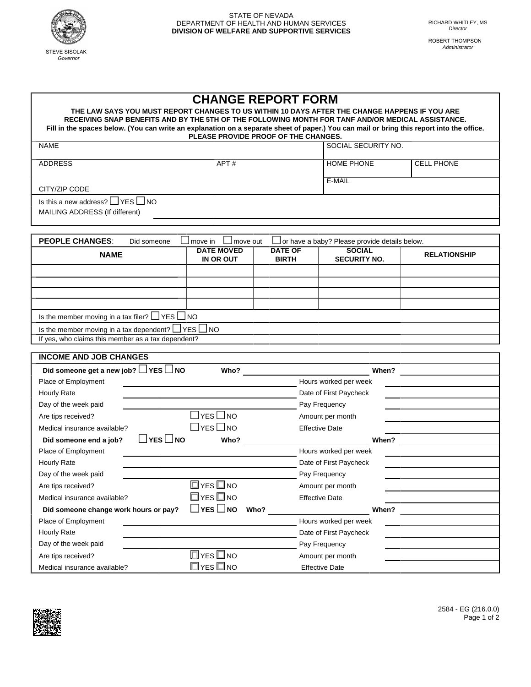

ROBERT THOMPSON Administrator

| <b>CHANGE REPORT FORM</b>                                                                                                                                                                          |                           |                                      |                       |                     |  |  |  |
|----------------------------------------------------------------------------------------------------------------------------------------------------------------------------------------------------|---------------------------|--------------------------------------|-----------------------|---------------------|--|--|--|
| THE LAW SAYS YOU MUST REPORT CHANGES TO US WITHIN 10 DAYS AFTER THE CHANGE HAPPENS IF YOU ARE<br>RECEIVING SNAP BENEFITS AND BY THE 5TH OF THE FOLLOWING MONTH FOR TANF AND/OR MEDICAL ASSISTANCE. |                           |                                      |                       |                     |  |  |  |
| Fill in the spaces below. (You can write an explanation on a separate sheet of paper.) You can mail or bring this report into the office.                                                          |                           |                                      |                       |                     |  |  |  |
|                                                                                                                                                                                                    |                           | PLEASE PROVIDE PROOF OF THE CHANGES. |                       |                     |  |  |  |
| <b>NAME</b>                                                                                                                                                                                        |                           |                                      | SOCIAL SECURITY NO.   |                     |  |  |  |
| <b>ADDRESS</b>                                                                                                                                                                                     | APT#                      |                                      | <b>HOME PHONE</b>     | <b>CELL PHONE</b>   |  |  |  |
|                                                                                                                                                                                                    |                           |                                      | E-MAIL                |                     |  |  |  |
| CITY/ZIP CODE                                                                                                                                                                                      |                           |                                      |                       |                     |  |  |  |
| Is this a new address? $\Box$ YES $\Box$ NO                                                                                                                                                        |                           |                                      |                       |                     |  |  |  |
| MAILING ADDRESS (If different)                                                                                                                                                                     |                           |                                      |                       |                     |  |  |  |
|                                                                                                                                                                                                    |                           |                                      |                       |                     |  |  |  |
|                                                                                                                                                                                                    |                           |                                      |                       |                     |  |  |  |
| <b>PEOPLE CHANGES:</b><br>Did someone<br>move in<br>or have a baby? Please provide details below.<br>move out<br><b>SOCIAL</b><br><b>DATE MOVED</b><br><b>DATE OF</b>                              |                           |                                      |                       |                     |  |  |  |
| <b>NAME</b>                                                                                                                                                                                        | IN OR OUT                 | <b>BIRTH</b>                         | <b>SECURITY NO.</b>   | <b>RELATIONSHIP</b> |  |  |  |
|                                                                                                                                                                                                    |                           |                                      |                       |                     |  |  |  |
|                                                                                                                                                                                                    |                           |                                      |                       |                     |  |  |  |
|                                                                                                                                                                                                    |                           |                                      |                       |                     |  |  |  |
|                                                                                                                                                                                                    |                           |                                      |                       |                     |  |  |  |
| Is the member moving in a tax filer? $\Box$ YES $\Box$ NO                                                                                                                                          |                           |                                      |                       |                     |  |  |  |
| Is the member moving in a tax dependent? $\Box$ YES $\Box$ NO                                                                                                                                      |                           |                                      |                       |                     |  |  |  |
| If yes, who claims this member as a tax dependent?                                                                                                                                                 |                           |                                      |                       |                     |  |  |  |
|                                                                                                                                                                                                    |                           |                                      |                       |                     |  |  |  |
| <b>INCOME AND JOB CHANGES</b>                                                                                                                                                                      |                           |                                      |                       |                     |  |  |  |
| Did someone get a new job? $\Box$ YES $\Box$ NO                                                                                                                                                    | Who?                      |                                      | When?                 |                     |  |  |  |
| Place of Employment                                                                                                                                                                                |                           |                                      | Hours worked per week |                     |  |  |  |
| Hourly Rate                                                                                                                                                                                        |                           | Date of First Paycheck               |                       |                     |  |  |  |
| Day of the week paid                                                                                                                                                                               |                           |                                      | Pay Frequency         |                     |  |  |  |
| Are tips received?                                                                                                                                                                                 | $\exists$ yes $\Box$ no   |                                      | Amount per month      |                     |  |  |  |
| Medical insurance available?                                                                                                                                                                       | $\sqsupset$ yes $\Box$ no |                                      | <b>Effective Date</b> |                     |  |  |  |
| Did someone end a job?                                                                                                                                                                             | ∐YES ∐NO<br>Who?          |                                      | When?                 |                     |  |  |  |

| $\exists$ YES $\Box$ NO<br>Did someone end a job? | Who?                       |      |                        | When? |
|---------------------------------------------------|----------------------------|------|------------------------|-------|
| Place of Employment                               |                            |      | Hours worked per week  |       |
| Hourly Rate                                       |                            |      | Date of First Paycheck |       |
| Day of the week paid                              |                            |      | Pay Frequency          |       |
| Are tips received?                                | $\square$ YES $\square$ NO |      | Amount per month       |       |
| Medical insurance available?                      | $\square$ YES $\square$ NO |      | <b>Effective Date</b>  |       |
| Did someone change work hours or pay?             | $\Box$ YES $\Box$ NO       | Who? |                        | When? |
| Place of Employment                               |                            |      | Hours worked per week  |       |
| Hourly Rate                                       |                            |      | Date of First Paycheck |       |
| Day of the week paid                              |                            |      | Pay Frequency          |       |
| Are tips received?                                | $\Box$ YES $\Box$ NO       |      | Amount per month       |       |
| Medical insurance available?                      | $\square$ yes $\square$ no |      | <b>Effective Date</b>  |       |